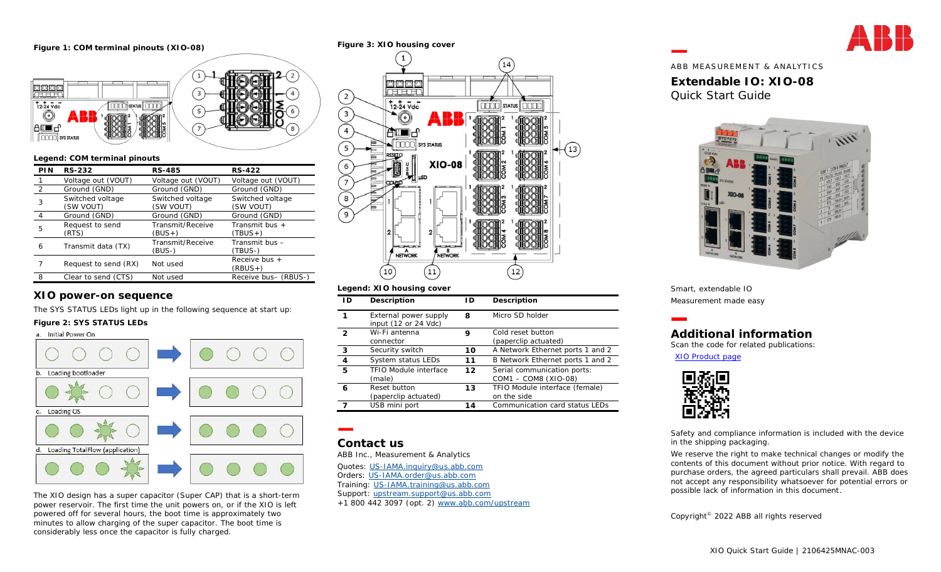#### **Figure 1: COM terminal pinouts (XIO-08)**



#### **Legend: COM terminal pinouts**

| <b>PIN</b>     | RS-232               | RS-485             | RS-422               |
|----------------|----------------------|--------------------|----------------------|
|                | Voltage out (VOUT)   | Voltage out (VOUT) | Voltage out (VOUT)   |
| $\overline{2}$ | Ground (GND)         | Ground (GND)       | Ground (GND)         |
| 3              | Switched voltage     | Switched voltage   | Switched voltage     |
|                | (SW VOUT)            | (SW VOUT)          | (SW VOUT)            |
| $\overline{4}$ | Ground (GND)         | Ground (GND)       | Ground (GND)         |
| 5              | Request to send      | Transmit/Receive   | Transmit bus $+$     |
|                | (RTS)                | (BUS+)             | $(TBUS +)$           |
| 6              | Transmit data (TX)   | Transmit/Receive   | Transmit bus $-$     |
|                |                      | (BUS-)             | (TBUS-)              |
|                | Request to send (RX) | Not used           | Receive bus $+$      |
|                |                      |                    | $(RBUS+)$            |
| 8              | Clear to send (CTS)  | Not used           | Receive bus- (RBUS-) |

# **XIO power-on sequence**

The SYS STATUS LEDs light up in the following sequence at start up:

#### **Figure 2: SYS STATUS LEDs**



The XIO design has a super capacitor (Super CAP) that is a short-term power reservoir. The first time the unit powers on, or if the XIO is left powered off for several hours, the boot time is approximately two minutes to allow charging of the super capacitor. The boot time is considerably less once the capacitor is fully charged.

## **Figure 3: XIO housing cover**  $\mathbf{H}^{\prime}$ 14 **BRBBB**<br>TELEL  $\left( \frac{2}{2} \right)$  $72 - 24$  Vdc  $\boxed{000}$  status  $\boxed{0000}$  $\sqrt{3}$  $\triangle$  (o)  $\sqrt{4}$ au∎d **FIFTING** SYS STATUS 5 13 **XIO-08** NETWORK NETWORK  $10$  $11$ 12 **Legend: XIO housing cover**

| l D            | Description                                   | I D | Description                      |
|----------------|-----------------------------------------------|-----|----------------------------------|
|                | External power supply<br>input (12 or 24 Vdc) | 8   | Micro SD holder                  |
| $\mathcal{D}$  | Wi-Fi antenna                                 | 9   | Cold reset button                |
|                | connector                                     |     | (paperclip actuated)             |
| $\overline{3}$ | Security switch                               | 10  | A Network Ethernet ports 1 and 2 |
| $\overline{4}$ | System status LEDs                            | 11  | B Network Ethernet ports 1 and 2 |
| 5              | TFIO Module interface                         | 12  | Serial communication ports:      |
|                | (male)                                        |     | COM1 - COM8 (XIO-08)             |
| 6              | Reset button                                  | 13  | TFIO Module interface (female)   |
|                | (paperclip actuated)                          |     | on the side                      |
|                | USB mini port                                 | 14  | Communication card status LEDs   |

# **Contact us**

ABB Inc., Measurement & Analytics

Quotes: US-IAMA.inquiry@us.abb.com Orders: US-IAMA.order@us.abb.com

Training: US-IAMA.training@us.abb.com Support: upstream.support@us.abb.com

+1 800 442 3097 (opt. 2) www.abb.com/upstream

ABB MEASUREMENT & ANALYTICS **Extendable IO: XIO-08** Quick Start Guide



Smart, extendable IO Measurement made easy

# **Additional information** Scan the code for related publications:

[XIO Product page](https://new.abb.com/products/measurement-products/upstream-oil-and-gas/products/flow-computers-remote-controllers/remote-controllers/rmc/xio)



Safety and compliance information is included with the device in the shipping packaging.

We reserve the right to make technical changes or modify the contents of this document without prior notice. With regard to purchase orders, the agreed particulars shall prevail. ABB does not accept any responsibility whatsoever for potential errors or possible lack of information in this document.

Copyright© 2022 ABB all rights reserved